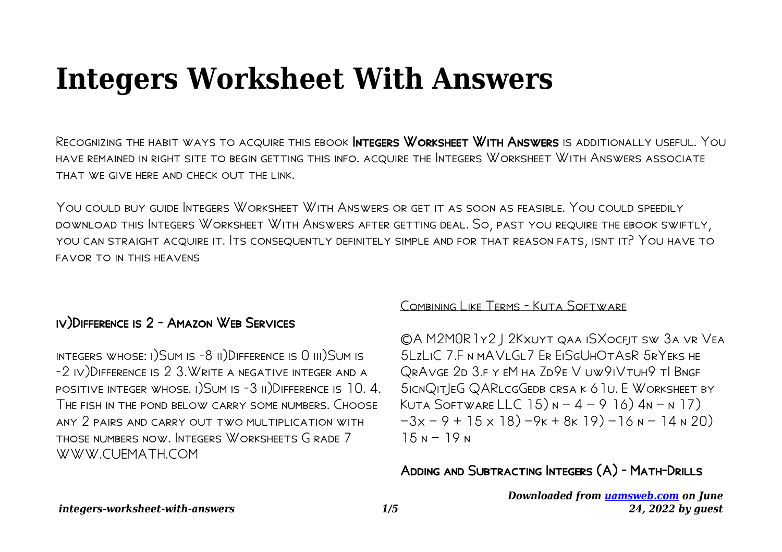# **Integers Worksheet With Answers**

RECOGNIZING THE HABIT WAYS TO ACQUIRE THIS EBOOK INTEGERS WORKSHEET WITH ANSWERS IS ADDITIONALLY USEFUL. YOU HAVE REMAINED IN RIGHT SITE TO BEGIN GETTING THIS INFO. ACQUIRE THE INTEGERS WORKSHEET WITH ANSWERS ASSOCIATE THAT WE GIVE HERE AND CHECK OUT THE LINK

YOU COULD BUY GUIDE INTEGERS WORKSHEET WITH ANSWERS OR GET IT AS SOON AS FEASIBLE, YOU COULD SPEEDILY DOWNLOAD THIS INTEGERS WORKSHEET WITH ANSWERS AFTER GETTING DEAL. SO, PAST YOU REQUIRE THE EBOOK SWIFTLY, YOU CAN STRAIGHT ACQUIRE IT. ITS CONSEQUENTLY DEFINITELY SIMPLE AND FOR THAT REASON FATS, ISNT IT? YOU HAVE TO **FAVOR TO IN THIS HEAVENS** 

## IV) DIFFERENCE IS 2 - AMAZON WEB SERVICES

INTEGERS WHOSE: 1) SUM IS -8 II) DIFFERENCE IS 0 III) SUM IS -2 IV) DIFFERENCE IS 2 3. WRITE A NEGATIVE INTEGER AND A POSITIVE INTEGER WHOSE. I) SUM IS -3 II) DIFFERENCE IS 10.4. THE FISH IN THE POND BELOW CARRY SOME NUMBERS. CHOOSE ANY 2 PAIRS AND CARRY OUT TWO MULTIPLICATION WITH THOSE NUMBERS NOW INTEGERS WORKSHEETS GRADE 7 WWW.CUFMATH.COM

#### COMBINING LIKE TERMS - KUTA SOFTWARE

©A M2MOR 1Y2 J 2KXUYT QAA ISXOCFJT SW 3A VR VEA 5LZLIC 7.F N MAVLGL7 ER EISGUHOTASR 5RYEKS HE QRAVGE 2D 3.F Y EM HA ZD9E V UW9IVTUH9 TI BNGF SICNQITIEG QARLCGGEDB CRSA K 6 TU. E WORKSHEET BY KUTA SOFTWARE LLC  $15)$   $N - 4 - 9$   $16)$   $4N - N$  17)  $-3x - 9 + 15 \times 18$   $-9k + 8k 19$   $-16n - 14n 20$  $15N - 19N$ 

ADDING AND SUBTRACTING INTEGERS (A) - MATH-DRILLS

Downloaded from uamsweb.com on June 24. 2022 by quest

integers-worksheet-with-answers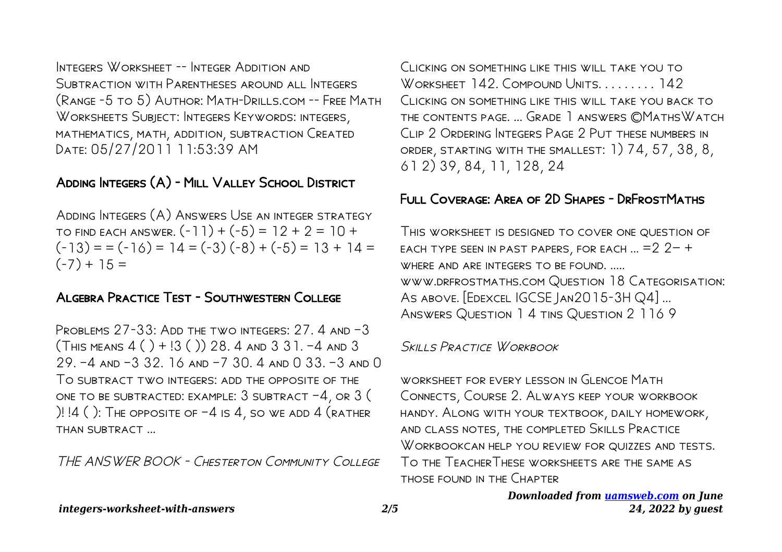Integers Worksheet -- Integer Addition and SUBTRACTION WITH PARENTHESES AROUND ALL INTEGERS (Range -5 to 5) Author: Math-Drills.com -- Free Math Worksheets Subject: Integers Keywords: integers, mathematics, math, addition, subtraction Created Date: 05/27/2011 11:53:39 AM

# Adding Integers (A) - Mill Valley School District

Adding Integers (A) Answers Use an integer strategy TO FIND EACH ANSWER.  $(-11) + (-5) = 12 + 2 = 10 +$  $(-13) = (-16) = 14 = (-3)(-8) + (-5) = 13 + 14 =$  $(-7) + 15 =$ 

## Algebra Practice Test - Southwestern College

PROBLEMS  $27-33$ : ADD THE TWO INTEGERS:  $27.4$  and  $-3$  $(THS MEANS 4() + 3() 28. 4 AND 3 31. -4 AND 3$ 29. –4 and –3 32. 16 and –7 30. 4 and 0 33. –3 and 0 To subtract two integers: add the opposite of the ONE TO BE SUBTRACTED: EXAMPLE:  $3$  subtract  $-4$ , or  $3$  ( )!  $14$  ( ): The opposite of  $-4$  is  $4$ , so we add  $4$  (rather than subtract ...

THE ANSWER BOOK - Chesterton Community College

Clicking on something like this will take you to WORKSHEET 142. COMPOUND UNITS. . . . . . . . 142 Clicking on something like this will take you back to the contents page. ... Grade 1 answers ©MathsWatch Clip 2 Ordering Integers Page 2 Put these numbers in order, starting with the smallest: 1) 74, 57, 38, 8, 61 2) 39, 84, 11, 128, 24

#### Full Coverage: Area of 2D Shapes - DrFrostMaths

This worksheet is designed to cover one question of each type seen in past papers, for each ... =2 2− + WHERE AND ARE INTEGERS TO BE FOUND. ..... www.drfrostmaths.com Question 18 Categorisation: AS ABOVE. [EDEXCEL IGCSE JAN2015-3H Q4] ... Answers Question 1 4 tins Question 2 116 9

Skills Practice Workbook

WORKSHEET FOR EVERY LESSON IN GLENCOE MATH Connects, Course 2. Always keep your workbook handy. Along with your textbook, daily homework, and class notes, the completed Skills Practice WORKBOOKCAN HELP YOU REVIEW FOR QUIZZES AND TESTS. To the TeacherThese worksheets are the same as those found in the Chapter

> *Downloaded from [uamsweb.com](http://uamsweb.com) on June 24, 2022 by guest*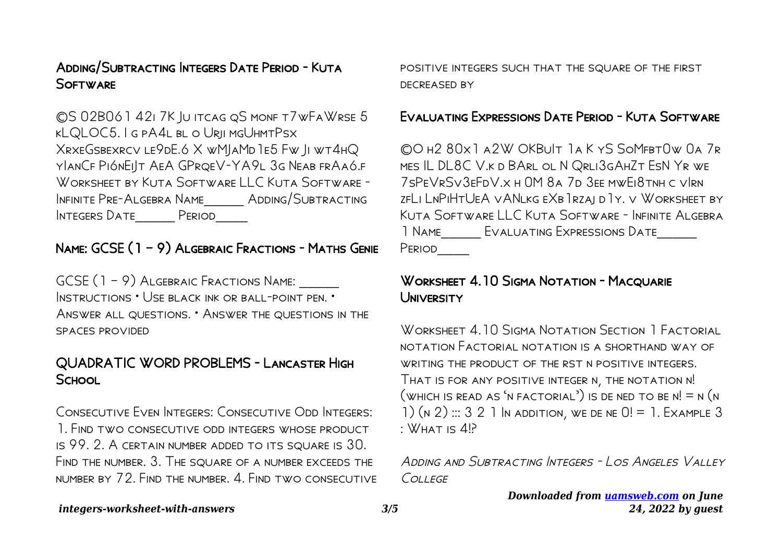#### ADDING/SUBTRACTING INTEGERS DATE PERIOD - KUTA **SOFTWARE**

CS 02B061 421 7K JU ITCAG QS MONF T7 WFA WRSE 5 KLQLOC5. I G PA4L BL O URII MGUHMTPSX XRXEGSBEXRCV LE9DE.6 X WMIAMD 1E5 FW II WT4HQ YLANCF PIÓNEILT AEA GPRQEV-YA9L 3G NEAB FRAAÓ.F WORKSHEET BY KUTA SOFTWARE LLC KUTA SOFTWARE -INFINITE PRE-ALGEBRA NAME ADDING/SUBTRACTING Integers Date Period

# NAME: GCSE (1 - 9) ALGEBRAIC FRACTIONS - MATHS GENIE

GCSE (1 – 9) Algebraic Fractions Name: INSTRUCTIONS . USE BLACK INK OR BALL-POINT PEN. ANSWER ALL QUESTIONS. • ANSWER THE QUESTIONS IN THE SPACES PROVIDED

## QUADRATIC WORD PROBLEMS - LANCASTER HIGH SCHOOL

CONSECUTIVE EVEN INTEGERS: CONSECUTIVE ODD INTEGERS: 1. FIND TWO CONSECUTIVE ODD INTEGERS WHOSE PRODUCT IS 99. 2. A CERTAIN NUMBER ADDED TO ITS SQUARE IS 30. FIND THE NUMBER, 3. THE SQUARE OF A NUMBER EXCEEDS THE NUMBER BY 72. FIND THE NUMBER, 4. FIND TWO CONSECUTIVE POSITIVE INTEGERS SUCH THAT THE SQUARE OF THE FIRST **DECREASED BY** 

#### **FVALUATING EXPRESSIONS DATE PERIOD - KUTA SOFTWARE**

COH2 80x1 A2W OKBULT 1AKYS SOMFBTOW 0A 7R MES IL DL8C V.K D BARL OL N QRLI3GAHZT ESN YR WE 7SPEVRSV3FFDV.X H OM 8A 7D 3FF MWFI8TNH C VIRN ZELI LNPIHTUEA VANLKG EXB IRZAI D I Y. V WORKSHEET BY KUTA SOFTWARELL C KUTA SOFTWARE - INFINITE ALGERRA 1 NAME EVALUATING EXPRESSIONS DATE Period

#### WORKSHEET 4.10 SIGMA NOTATION - MACQUARIE **UNIVERSITY**

WORKSHEET 4.10 SIGMA NOTATION SECTION 1 FACTORIAL NOTATION FACTORIAL NOTATION IS A SHORTHAND WAY OF WRITING THE PRODUCT OF THE RST N POSITIVE INTEGERS THAT IS FOR ANY POSITIVE INTEGER N, THE NOTATION N!  $($ WHICH IS READ AS 'N FACTORIAL') IS DE NED TO BE N! = N (N 1)  $(n 2)$  ::: 3 2 1 In addition, we de ne  $0! = 1$ . Example 3  $\cdot$  WHAT IS  $4P$ 

ADDING AND SURTRACTING INTEGERS - LOS ANGELES VALLEY  $C$ *OLI*  $FGF$ 

> Downloaded from uamsweb.com on June 24, 2022 by quest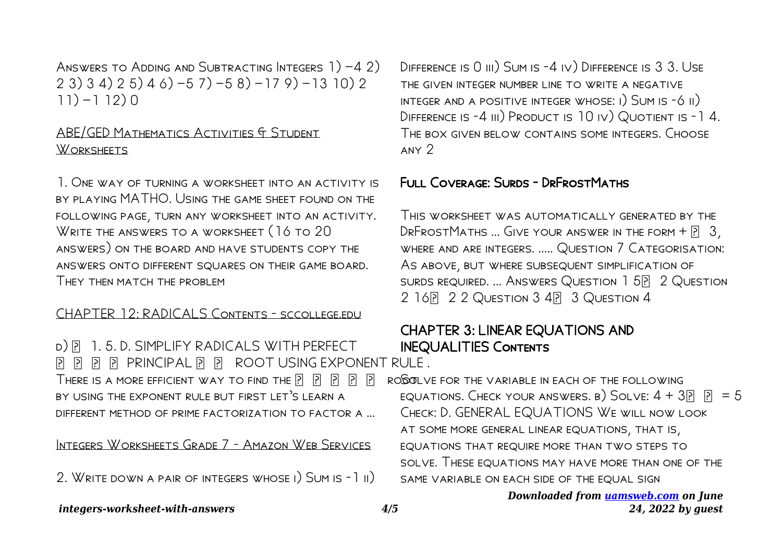ANSWERS TO ADDING AND SUBTRACTING INTEGERS 1) −4 2) 2 3) 3 4) 2 5) 4 6) −5 7) −5 8) −17 9) −13 10) 2 11) −1 12) 0

#### ABE/GED Mathematics Activities & Student Worksheets

1. One way of turning a worksheet into an activity is by playing MATHO. Using the game sheet found on the following page, turn any worksheet into an activity. WRITE THE ANSWERS TO A WORKSHEET (16 TO 20 answers) on the board and have students copy the answers onto different squares on their game board. THEY THEN MATCH THE PROBLEM

#### CHAPTER 12: RADICALS Contents - sccollege.edu

D) P. 1. 5. D. SIMPLIFY RADICALS WITH PERFECT PPP PRINCIPAL PPP ROOT USING EXPONENT RULE. THERE IS A MORE EFFICIENT WAY TO FIND THE  $\begin{bmatrix} 2 \end{bmatrix}$   $\begin{bmatrix} 2 \end{bmatrix}$   $\begin{bmatrix} 2 \end{bmatrix}$   $\begin{bmatrix} 2 \end{bmatrix}$ by using the exponent rule but first let's learn a different method of prime factorization to factor a …

Integers Worksheets Grade 7 - Amazon Web Services

2. Write down a pair of integers whose i) Sum is -1 ii)

Difference is 0 iii) Sum is -4 iv) Difference is 3 3. Use the given integer number line to write a negative integer and a positive integer whose: i) Sum is -6 ii) DIFFERENCE IS -4 III) PRODUCT IS 10 IV) QUOTIENT IS -14. The box given below contains some integers. Choose any 2

#### Full Coverage: Surds - DrFrostMaths

This worksheet was automatically generated by the DRFROSTMATHS ... GIVE YOUR ANSWER IN THE FORM  $+$   $\overline{[}$  3, where and are integers. ..... Question 7 Categorisation: As above, but where subsequent simplification of surds required. ... Answers Question 1 52 Question 2 16 2 2 QUESTION 3 4 3 QUESTION 4

# CHAPTER 3: LINEAR EQUATIONS AND INEQUALITIES Contents

ROBOTI VE FOR THE VARIABLE IN FACH OF THE FOLLOWING EQUATIONS. CHECK YOUR ANSWERS. B) SOLVE:  $4 + 3$  $\boxed{7}$   $\boxed{7} = 5$ Check: D. GENERAL EQUATIONS We will now look at some more general linear equations, that is, equations that require more than two steps to solve. These equations may have more than one of the SAME VARIABLE ON EACH SIDE OF THE EQUAL SIGN

#### *Downloaded from [uamsweb.com](http://uamsweb.com) on June 24, 2022 by guest*